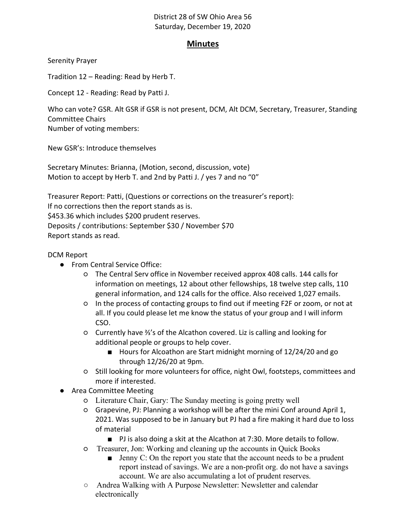## District 28 of SW Ohio Area 56 Saturday, December 19, 2020

## Minutes

Serenity Prayer

Tradition 12 – Reading: Read by Herb T.

Concept 12 - Reading: Read by Patti J.

Who can vote? GSR. Alt GSR if GSR is not present, DCM, Alt DCM, Secretary, Treasurer, Standing Committee Chairs

Number of voting members:

New GSR's: Introduce themselves

Secretary Minutes: Brianna, (Motion, second, discussion, vote) Motion to accept by Herb T. and 2nd by Patti J. / yes 7 and no "0"

Treasurer Report: Patti, (Questions or corrections on the treasurer's report): If no corrections then the report stands as is. \$453.36 which includes \$200 prudent reserves. Deposits / contributions: September \$30 / November \$70 Report stands as read.

DCM Report

- From Central Service Office:
	- The Central Serv office in November received approx 408 calls. 144 calls for information on meetings, 12 about other fellowships, 18 twelve step calls, 110 general information, and 124 calls for the office. Also received 1,027 emails.
	- In the process of contacting groups to find out if meeting F2F or zoom, or not at all. If you could please let me know the status of your group and I will inform CSO.
	- Currently have ⅔'s of the Alcathon covered. Liz is calling and looking for additional people or groups to help cover.
		- Hours for Alcoathon are Start midnight morning of 12/24/20 and go through 12/26/20 at 9pm.
	- Still looking for more volunteers for office, night Owl, footsteps, committees and more if interested.
- Area Committee Meeting
	- Literature Chair, Gary: The Sunday meeting is going pretty well
	- Grapevine, PJ: Planning a workshop will be after the mini Conf around April 1, 2021. Was supposed to be in January but PJ had a fire making it hard due to loss of material
		- PJ is also doing a skit at the Alcathon at 7:30. More details to follow.
	- Treasurer, Jon: Working and cleaning up the accounts in Quick Books
		- Jenny C: On the report you state that the account needs to be a prudent report instead of savings. We are a non-profit org. do not have a savings account. We are also accumulating a lot of prudent reserves.
	- Andrea Walking with A Purpose Newsletter: Newsletter and calendar electronically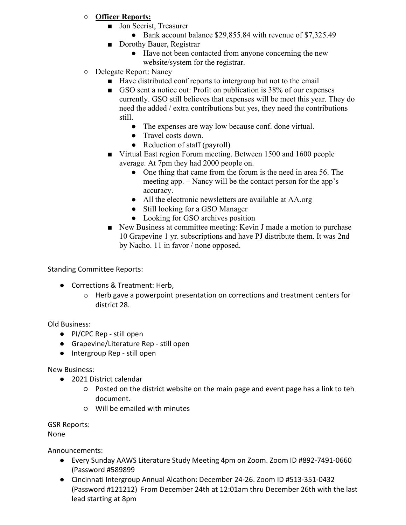## ○ Officer Reports:

- Jon Secrist, Treasurer
	- Bank account balance \$29,855.84 with revenue of \$7,325.49
- Dorothy Bauer, Registrar
	- Have not been contacted from anyone concerning the new website/system for the registrar.
- Delegate Report: Nancy
	- Have distributed conf reports to intergroup but not to the email
	- GSO sent a notice out: Profit on publication is 38% of our expenses currently. GSO still believes that expenses will be meet this year. They do need the added / extra contributions but yes, they need the contributions still.
		- The expenses are way low because conf. done virtual.
		- Travel costs down.
		- Reduction of staff (payroll)
	- Virtual East region Forum meeting. Between 1500 and 1600 people average. At 7pm they had 2000 people on.
		- One thing that came from the forum is the need in area 56. The meeting app. – Nancy will be the contact person for the app's accuracy.
		- All the electronic newsletters are available at AA.org
		- Still looking for a GSO Manager
		- Looking for GSO archives position
	- New Business at committee meeting: Kevin J made a motion to purchase 10 Grapevine 1 yr. subscriptions and have PJ distribute them. It was 2nd by Nacho. 11 in favor / none opposed.

Standing Committee Reports:

- Corrections & Treatment: Herb.
	- o Herb gave a powerpoint presentation on corrections and treatment centers for district 28.

Old Business:

- PI/CPC Rep still open
- Grapevine/Literature Rep still open
- Intergroup Rep still open

New Business:

- 2021 District calendar
	- Posted on the district website on the main page and event page has a link to teh document.
	- Will be emailed with minutes

GSR Reports:

None

Announcements:

- Every Sunday AAWS Literature Study Meeting 4pm on Zoom. Zoom ID #892-7491-0660 (Password #589899
- Cincinnati Intergroup Annual Alcathon: December 24-26. Zoom ID #513-351-0432 (Password #121212) From December 24th at 12:01am thru December 26th with the last lead starting at 8pm